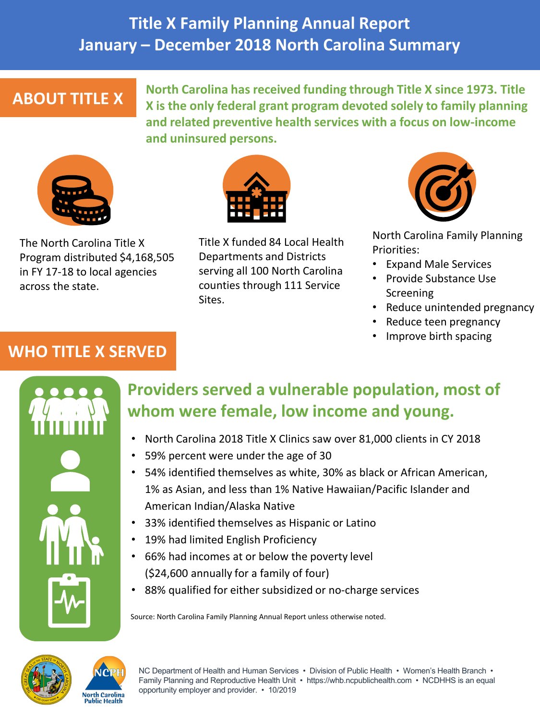# **Title X Family Planning Annual Report January – December 2018 North Carolina Summary**

## **ABOUT TITLE X**

**North Carolina has received funding through Title X since 1973. Title X is the only federal grant program devoted solely to family planning and related preventive health services with a focus on low-income and uninsured persons.** 



The North Carolina Title X Program distributed \$4,168,505 in FY 17-18 to local agencies across the state.



Title X funded 84 Local Health Departments and Districts serving all 100 North Carolina counties through 111 Service Sites.



North Carolina Family Planning Priorities:

- Expand Male Services
- Provide Substance Use **Screening**
- Reduce unintended pregnancy
- Reduce teen pregnancy
- Improve birth spacing

### **WHO TITLE X SERVED**



# **Providers served a vulnerable population, most of whom were female, low income and young.**

- North Carolina 2018 Title X Clinics saw over 81,000 clients in CY 2018
- 59% percent were under the age of 30
- 54% identified themselves as white, 30% as black or African American, 1% as Asian, and less than 1% Native Hawaiian/Pacific Islander and American Indian/Alaska Native
- 33% identified themselves as Hispanic or Latino
- 19% had limited English Proficiency
- 66% had incomes at or below the poverty level (\$24,600 annually for a family of four)
- 88% qualified for either subsidized or no-charge services

Source: North Carolina Family Planning Annual Report unless otherwise noted.





NC Department of Health and Human Services • Division of Public Health • Women's Health Branch • Family Planning and Reproductive Health Unit • https://whb.ncpublichealth.com • NCDHHS is an equal opportunity employer and provider. • 10/2019